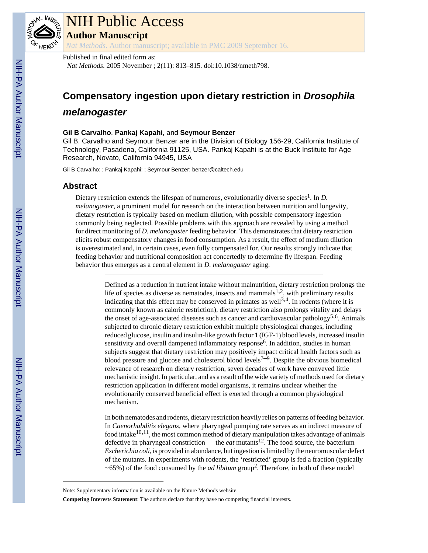

# NIH Public Access

**Author Manuscript**

*Nat Methods*. Author manuscript; available in PMC 2009 September 16.

Published in final edited form as:

*Nat Methods*. 2005 November ; 2(11): 813–815. doi:10.1038/nmeth798.

# **Compensatory ingestion upon dietary restriction in** *Drosophila*

## *melanogaster*

#### **Gil B Carvalho**, **Pankaj Kapahi**, and **Seymour Benzer**

Gil B. Carvalho and Seymour Benzer are in the Division of Biology 156-29, California Institute of Technology, Pasadena, California 91125, USA. Pankaj Kapahi is at the Buck Institute for Age Research, Novato, California 94945, USA

Gil B Carvalho: ; Pankaj Kapahi: ; Seymour Benzer: benzer@caltech.edu

### **Abstract**

Dietary restriction extends the lifespan of numerous, evolutionarily diverse species<sup>1</sup>. In *D*. *melanogaster*, a prominent model for research on the interaction between nutrition and longevity, dietary restriction is typically based on medium dilution, with possible compensatory ingestion commonly being neglected. Possible problems with this approach are revealed by using a method for direct monitoring of *D. melanogaster* feeding behavior. This demonstrates that dietary restriction elicits robust compensatory changes in food consumption. As a result, the effect of medium dilution is overestimated and, in certain cases, even fully compensated for. Our results strongly indicate that feeding behavior and nutritional composition act concertedly to determine fly lifespan. Feeding behavior thus emerges as a central element in *D. melanogaster* aging.

> Defined as a reduction in nutrient intake without malnutrition, dietary restriction prolongs the life of species as diverse as nematodes, insects and mammals<sup>1,2</sup>, with preliminary results indicating that this effect may be conserved in primates as well<sup>3,4</sup>. In rodents (where it is commonly known as caloric restriction), dietary restriction also prolongs vitality and delays the onset of age-associated diseases such as cancer and cardiovascular pathology<sup>5,6</sup>. Animals subjected to chronic dietary restriction exhibit multiple physiological changes, including reduced glucose, insulin and insulin-like growth factor 1 (IGF-1) blood levels, increased insulin sensitivity and overall dampened inflammatory response<sup>6</sup>. In addition, studies in human subjects suggest that dietary restriction may positively impact critical health factors such as blood pressure and glucose and cholesterol blood levels<sup> $7-9$ </sup>. Despite the obvious biomedical relevance of research on dietary restriction, seven decades of work have conveyed little mechanistic insight. In particular, and as a result of the wide variety of methods used for dietary restriction application in different model organisms, it remains unclear whether the evolutionarily conserved beneficial effect is exerted through a common physiological mechanism.

> In both nematodes and rodents, dietary restriction heavily relies on patterns of feeding behavior. In *Caenorhabditis elegans*, where pharyngeal pumping rate serves as an indirect measure of food intake $10,11$ , the most common method of dietary manipulation takes advantage of animals defective in pharyngeal constriction — the *eat* mutants<sup>12</sup>. The food source, the bacterium *Escherichia coli*, is provided in abundance, but ingestion is limited by the neuromuscular defect of the mutants. In experiments with rodents, the 'restricted' group is fed a fraction (typically ∼65%) of the food consumed by the *ad libitum* group<sup>2</sup> . Therefore, in both of these model

Note: Supplementary information is available on the Nature Methods website.

**Competing Interests Statement**: The authors declare that they have no competing financial interests.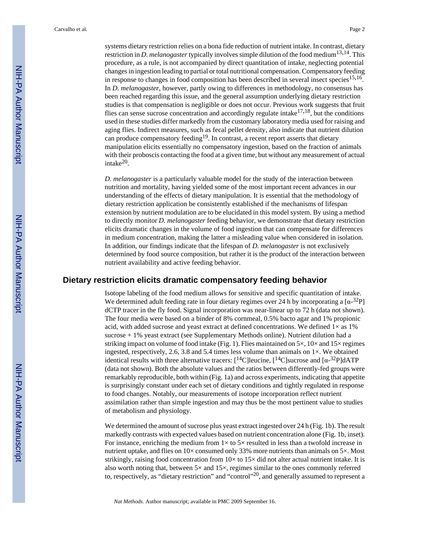systems dietary restriction relies on a bona fide reduction of nutrient intake. In contrast, dietary restriction in *D. melanogaster* typically involves simple dilution of the food medium<sup>13,14</sup>. This procedure, as a rule, is not accompanied by direct quantitation of intake, neglecting potential changes in ingestion leading to partial or total nutritional compensation. Compensatory feeding in response to changes in food composition has been described in several insect species<sup>15,16</sup>. In *D. melanogaster*, however, partly owing to differences in methodology, no consensus has been reached regarding this issue, and the general assumption underlying dietary restriction studies is that compensation is negligible or does not occur. Previous work suggests that fruit flies can sense sucrose concentration and accordingly regulate intake  $17,18$ , but the conditions used in these studies differ markedly from the customary laboratory media used for raising and aging flies. Indirect measures, such as fecal pellet density, also indicate that nutrient dilution can produce compensatory feeding<sup>19</sup>. In contrast, a recent report asserts that dietary manipulation elicits essentially no compensatory ingestion, based on the fraction of animals with their proboscis contacting the food at a given time, but without any measurement of actual intake<sup>20</sup> .

*D. melanogaster* is a particularly valuable model for the study of the interaction between nutrition and mortality, having yielded some of the most important recent advances in our understanding of the effects of dietary manipulation. It is essential that the methodology of dietary restriction application be consistently established if the mechanisms of lifespan extension by nutrient modulation are to be elucidated in this model system. By using a method to directly monitor *D. melanogaster* feeding behavior, we demonstrate that dietary restriction elicits dramatic changes in the volume of food ingestion that can compensate for differences in medium concentration, making the latter a misleading value when considered in isolation. In addition, our findings indicate that the lifespan of *D. melanogaster* is not exclusively determined by food source composition, but rather it is the product of the interaction between nutrient availability and active feeding behavior.

#### **Dietary restriction elicits dramatic compensatory feeding behavior**

Isotope labeling of the food medium allows for sensitive and specific quantitation of intake. We determined adult feeding rate in four dietary regimes over 24 h by incorporating a  $[\alpha^{-32}P]$ dCTP tracer in the fly food. Signal incorporation was near-linear up to 72 h (data not shown). The four media were based on a binder of 8% cornmeal, 0.5% bacto agar and 1% propionic acid, with added sucrose and yeast extract at defined concentrations. We defined  $1\times$  as 1% sucrose + 1% yeast extract (see Supplementary Methods online). Nutrient dilution had a striking impact on volume of food intake (Fig. 1). Flies maintained on  $5\times$ ,  $10\times$  and  $15\times$  regimes ingested, respectively, 2.6, 3.8 and 5.4 times less volume than animals on  $1\times$ . We obtained identical results with three alternative tracers:  $[$ <sup>14</sup>C]leucine,  $[$ <sup>14</sup>C]sucrose and  $[$ α-<sup>32</sup>P]dATP (data not shown). Both the absolute values and the ratios between differently-fed groups were remarkably reproducible, both within (Fig. 1a) and across experiments, indicating that appetite is surprisingly constant under each set of dietary conditions and tightly regulated in response to food changes. Notably, our measurements of isotope incorporation reflect nutrient assimilation rather than simple ingestion and may thus be the most pertinent value to studies of metabolism and physiology.

We determined the amount of sucrose plus yeast extract ingested over 24 h (Fig. 1b). The result markedly contrasts with expected values based on nutrient concentration alone (Fig. 1b, inset). For instance, enriching the medium from  $1\times$  to  $5\times$  resulted in less than a twofold increase in nutrient uptake, and flies on  $10\times$  consumed only 33% more nutrients than animals on 5 $\times$ . Most strikingly, raising food concentration from  $10\times$  to  $15\times$  did not alter actual nutrient intake. It is also worth noting that, between  $5\times$  and  $15\times$ , regimes similar to the ones commonly referred to, respectively, as "dietary restriction" and "control"20, and generally assumed to represent a

*Nat Methods*. Author manuscript; available in PMC 2009 September 16.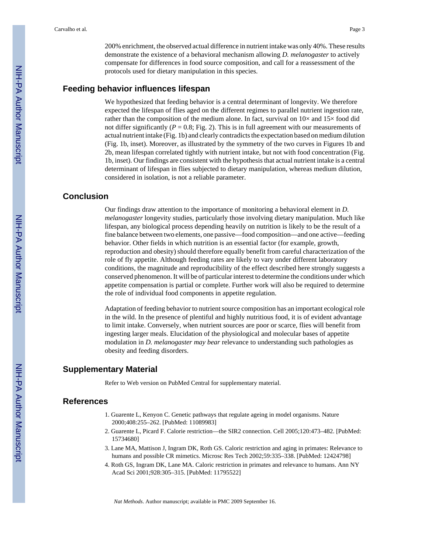200% enrichment, the observed actual difference in nutrient intake was only 40%. These results demonstrate the existence of a behavioral mechanism allowing *D. melanogaster* to actively compensate for differences in food source composition, and call for a reassessment of the protocols used for dietary manipulation in this species.

#### **Feeding behavior influences lifespan**

We hypothesized that feeding behavior is a central determinant of longevity. We therefore expected the lifespan of flies aged on the different regimes to parallel nutrient ingestion rate, rather than the composition of the medium alone. In fact, survival on  $10\times$  and  $15\times$  food did not differ significantly  $(P = 0.8; Fig. 2)$ . This is in full agreement with our measurements of actual nutrient intake (Fig. 1b) and clearly contradicts the expectation based on medium dilution (Fig. 1b, inset). Moreover, as illustrated by the symmetry of the two curves in Figures 1b and 2b, mean lifespan correlated tightly with nutrient intake, but not with food concentration (Fig. 1b, inset). Our findings are consistent with the hypothesis that actual nutrient intake is a central determinant of lifespan in flies subjected to dietary manipulation, whereas medium dilution, considered in isolation, is not a reliable parameter.

#### **Conclusion**

Our findings draw attention to the importance of monitoring a behavioral element in *D. melanogaster* longevity studies, particularly those involving dietary manipulation. Much like lifespan, any biological process depending heavily on nutrition is likely to be the result of a fine balance between two elements, one passive—food composition—and one active—feeding behavior. Other fields in which nutrition is an essential factor (for example, growth, reproduction and obesity) should therefore equally benefit from careful characterization of the role of fly appetite. Although feeding rates are likely to vary under different laboratory conditions, the magnitude and reproducibility of the effect described here strongly suggests a conserved phenomenon. It will be of particular interest to determine the conditions under which appetite compensation is partial or complete. Further work will also be required to determine the role of individual food components in appetite regulation.

Adaptation of feeding behavior to nutrient source composition has an important ecological role in the wild. In the presence of plentiful and highly nutritious food, it is of evident advantage to limit intake. Conversely, when nutrient sources are poor or scarce, flies will benefit from ingesting larger meals. Elucidation of the physiological and molecular bases of appetite modulation in *D. melanogaster may bear* relevance to understanding such pathologies as obesity and feeding disorders.

#### **Supplementary Material**

Refer to Web version on PubMed Central for supplementary material.

#### **References**

- 1. Guarente L, Kenyon C. Genetic pathways that regulate ageing in model organisms. Nature 2000;408:255–262. [PubMed: 11089983]
- 2. Guarente L, Picard F. Calorie restriction—the SIR2 connection. Cell 2005;120:473–482. [PubMed: 15734680]
- 3. Lane MA, Mattison J, Ingram DK, Roth GS. Caloric restriction and aging in primates: Relevance to humans and possible CR mimetics. Microsc Res Tech 2002;59:335–338. [PubMed: 12424798]
- 4. Roth GS, Ingram DK, Lane MA. Caloric restriction in primates and relevance to humans. Ann NY Acad Sci 2001;928:305–315. [PubMed: 11795522]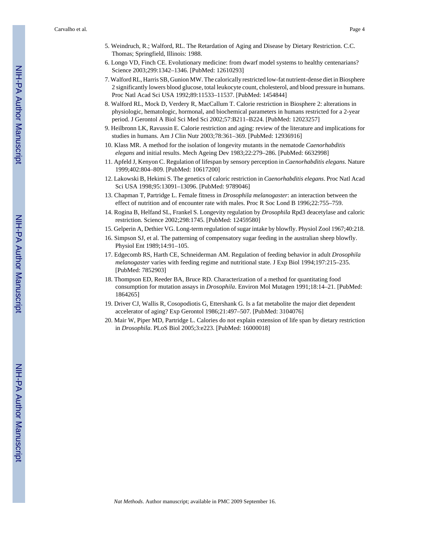- 5. Weindruch, R.; Walford, RL. The Retardation of Aging and Disease by Dietary Restriction. C.C. Thomas; Springfield, Illinois: 1988.
- 6. Longo VD, Finch CE. Evolutionary medicine: from dwarf model systems to healthy centenarians? Science 2003;299:1342–1346. [PubMed: 12610293]
- 7. Walford RL, Harris SB, Gunion MW. The calorically restricted low-fat nutrient-dense diet in Biosphere 2 significantly lowers blood glucose, total leukocyte count, cholesterol, and blood pressure in humans. Proc Natl Acad Sci USA 1992;89:11533–11537. [PubMed: 1454844]
- 8. Walford RL, Mock D, Verdery R, MacCallum T. Calorie restriction in Biosphere 2: alterations in physiologic, hematologic, hormonal, and biochemical parameters in humans restricted for a 2-year period. J Gerontol A Biol Sci Med Sci 2002;57:B211–B224. [PubMed: 12023257]
- 9. Heilbronn LK, Ravussin E. Calorie restriction and aging: review of the literature and implications for studies in humans. Am J Clin Nutr 2003;78:361–369. [PubMed: 12936916]
- 10. Klass MR. A method for the isolation of longevity mutants in the nematode *Caenorhabditis elegans* and initial results. Mech Ageing Dev 1983;22:279–286. [PubMed: 6632998]
- 11. Apfeld J, Kenyon C. Regulation of lifespan by sensory perception in *Caenorhabditis elegans*. Nature 1999;402:804–809. [PubMed: 10617200]
- 12. Lakowski B, Hekimi S. The genetics of caloric restriction in *Caenorhabditis elegans*. Proc Natl Acad Sci USA 1998;95:13091–13096. [PubMed: 9789046]
- 13. Chapman T, Partridge L. Female fitness in *Drosophila melanogaster*: an interaction between the effect of nutrition and of encounter rate with males. Proc R Soc Lond B 1996;22:755–759.
- 14. Rogina B, Helfand SL, Frankel S. Longevity regulation by *Drosophila* Rpd3 deacetylase and caloric restriction. Science 2002;298:1745. [PubMed: 12459580]
- 15. Gelperin A, Dethier VG. Long-term regulation of sugar intake by blowfly. Physiol Zool 1967;40:218.
- 16. Simpson SJ, et al. The patterning of compensatory sugar feeding in the australian sheep blowfly. Physiol Ent 1989;14:91–105.
- 17. Edgecomb RS, Harth CE, Schneiderman AM. Regulation of feeding behavior in adult *Drosophila melanogaster* varies with feeding regime and nutritional state. J Exp Biol 1994;197:215–235. [PubMed: 7852903]
- 18. Thompson ED, Reeder BA, Bruce RD. Characterization of a method for quantitating food consumption for mutation assays in *Drosophila*. Environ Mol Mutagen 1991;18:14–21. [PubMed: 1864265]
- 19. Driver CJ, Wallis R, Cosopodiotis G, Ettershank G. Is a fat metabolite the major diet dependent accelerator of aging? Exp Gerontol 1986;21:497–507. [PubMed: 3104076]
- 20. Mair W, Piper MD, Partridge L. Calories do not explain extension of life span by dietary restriction in *Drosophila*. PLoS Biol 2005;3:e223. [PubMed: 16000018]

NIH-PA Author Manuscript

NIH-PA Author Manuscript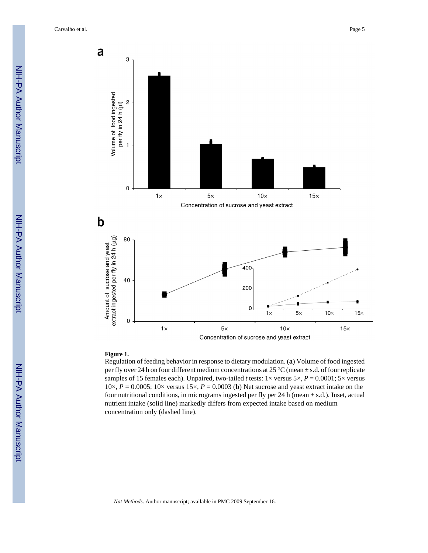

#### **Figure 1.**

Regulation of feeding behavior in response to dietary modulation. (**a**) Volume of food ingested per fly over 24 h on four different medium concentrations at 25 °C (mean ± s.d. of four replicate samples of 15 females each). Unpaired, two-tailed *t* tests:  $1 \times$  versus  $5 \times$ ,  $P = 0.0001$ ;  $5 \times$  versus  $10\times$ ,  $P = 0.0005$ ;  $10\times$  versus  $15\times$ ,  $P = 0.0003$  (**b**) Net sucrose and yeast extract intake on the four nutritional conditions, in micrograms ingested per fly per 24 h (mean ± s.d.). Inset, actual nutrient intake (solid line) markedly differs from expected intake based on medium concentration only (dashed line).